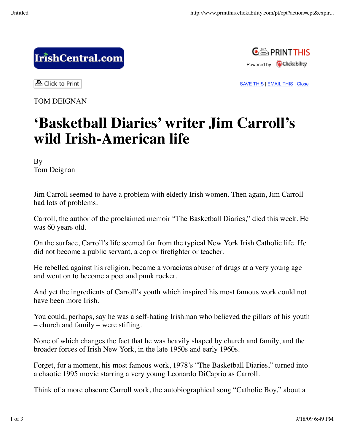## IrishCentral.com



SAVE THIS | EMAIL THIS | Close

ਣੀ Click to Print

TOM DEIGNAN

## **'Basketball Diaries' writer Jim Carroll's wild Irish-American life**

By Tom Deignan

Jim Carroll seemed to have a problem with elderly Irish women. Then again, Jim Carroll had lots of problems.

Carroll, the author of the proclaimed memoir "The Basketball Diaries," died this week. He was 60 years old.

On the surface, Carroll's life seemed far from the typical New York Irish Catholic life. He did not become a public servant, a cop or firefighter or teacher.

He rebelled against his religion, became a voracious abuser of drugs at a very young age and went on to become a poet and punk rocker.

And yet the ingredients of Carroll's youth which inspired his most famous work could not have been more Irish.

You could, perhaps, say he was a self-hating Irishman who believed the pillars of his youth – church and family – were stifling.

None of which changes the fact that he was heavily shaped by church and family, and the broader forces of Irish New York, in the late 1950s and early 1960s.

Forget, for a moment, his most famous work, 1978's "The Basketball Diaries," turned into a chaotic 1995 movie starring a very young Leonardo DiCaprio as Carroll.

Think of a more obscure Carroll work, the autobiographical song "Catholic Boy," about a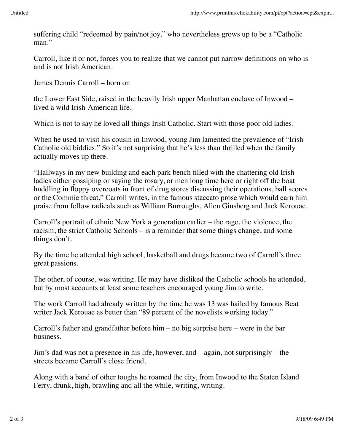Carroll, like it or not, forces you to realize that we cannot put narrow definitions on who is and is not Irish American.

James Dennis Carroll – born on

the Lower East Side, raised in the heavily Irish upper Manhattan enclave of Inwood – lived a wild Irish-American life.

Which is not to say he loved all things Irish Catholic. Start with those poor old ladies.

When he used to visit his cousin in Inwood, young Jim lamented the prevalence of "Irish Catholic old biddies." So it's not surprising that he's less than thrilled when the family actually moves up there.

"Hallways in my new building and each park bench filled with the chattering old Irish ladies either gossiping or saying the rosary, or men long time here or right off the boat huddling in floppy overcoats in front of drug stores discussing their operations, ball scores or the Commie threat," Carroll writes, in the famous staccato prose which would earn him praise from fellow radicals such as William Burroughs, Allen Ginsberg and Jack Kerouac.

Carroll's portrait of ethnic New York a generation earlier – the rage, the violence, the racism, the strict Catholic Schools – is a reminder that some things change, and some things don't.

By the time he attended high school, basketball and drugs became two of Carroll's three great passions.

The other, of course, was writing. He may have disliked the Catholic schools he attended, but by most accounts at least some teachers encouraged young Jim to write.

The work Carroll had already written by the time he was 13 was hailed by famous Beat writer Jack Kerouac as better than "89 percent of the novelists working today."

Carroll's father and grandfather before him – no big surprise here – were in the bar business.

Jim's dad was not a presence in his life, however, and – again, not surprisingly – the streets became Carroll's close friend.

Along with a band of other toughs he roamed the city, from Inwood to the Staten Island Ferry, drunk, high, brawling and all the while, writing, writing.